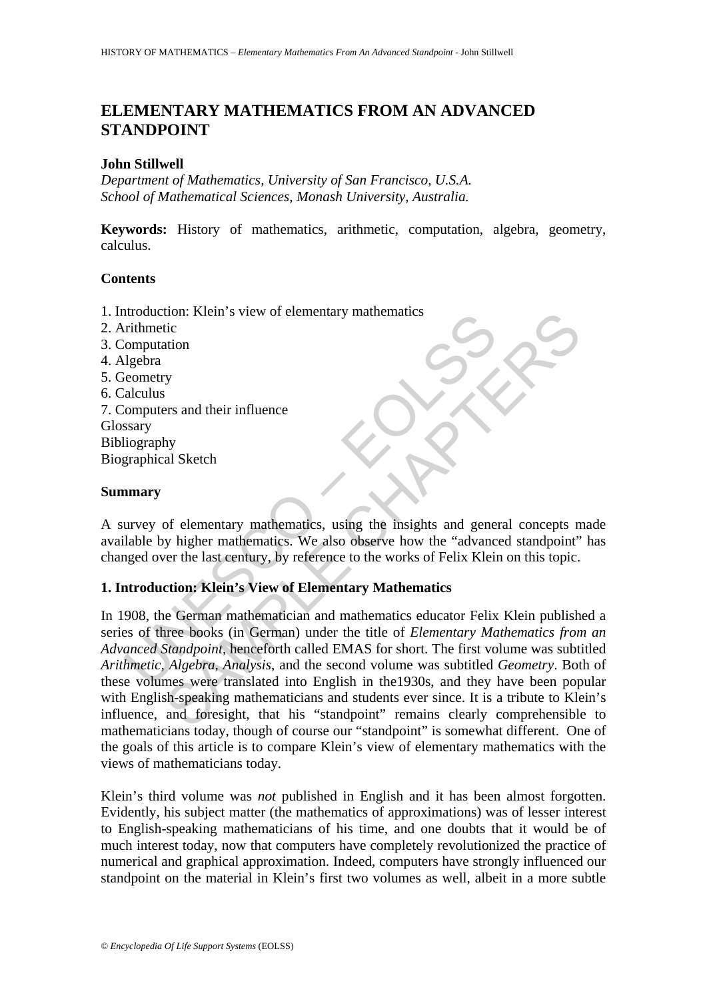# **ELEMENTARY MATHEMATICS FROM AN ADVANCED STANDPOINT**

# **John Stillwell**

*Department of Mathematics, University of San Francisco, U.S.A. School of Mathematical Sciences, Monash University, Australia.* 

**Keywords:** History of mathematics, arithmetic, computation, algebra, geometry, calculus.

# **Contents**

- 1. Introduction: Klein's view of elementary mathematics
- 2. Arithmetic
- 3. Computation
- 4. Algebra
- 5. Geometry
- 6. Calculus
- 7. Computers and their influence Glossary Bibliography Biographical Sketch

# **Summary**

A survey of elementary mathematics, using the insights and general concepts made available by higher mathematics. We also observe how the "advanced standpoint" has changed over the last century, by reference to the works of Felix Klein on this topic.

# **1. Introduction: Klein's View of Elementary Mathematics**

Influencial<br>
influencial<br>
computation<br>
computation<br>
lgebra<br>
computation<br>
lgebra<br>
computation<br>
lgebra<br>
stary<br>
stary<br>
liography<br>
graphical Sketch<br> **nmary**<br>
urvey of elementary mathematics, using the insights and gene<br>
lable The Solution<br>
The Solution<br>
State of elementary mathematics, using the insights and general concepts n<br>
Series and their influence<br>
Series and their influence<br>
Sample mathematics. We also observe how the "advanced standpoi In 1908, the German mathematician and mathematics educator Felix Klein published a series of three books (in German) under the title of *Elementary Mathematics from an Advanced Standpoint*, henceforth called EMAS for short. The first volume was subtitled *Arithmetic, Algebra, Analysis*, and the second volume was subtitled *Geometry*. Both of these volumes were translated into English in the1930s, and they have been popular with English-speaking mathematicians and students ever since. It is a tribute to Klein's influence, and foresight, that his "standpoint" remains clearly comprehensible to mathematicians today, though of course our "standpoint" is somewhat different. One of the goals of this article is to compare Klein's view of elementary mathematics with the views of mathematicians today.

Klein's third volume was *not* published in English and it has been almost forgotten. Evidently, his subject matter (the mathematics of approximations) was of lesser interest to English-speaking mathematicians of his time, and one doubts that it would be of much interest today, now that computers have completely revolutionized the practice of numerical and graphical approximation. Indeed, computers have strongly influenced our standpoint on the material in Klein's first two volumes as well, albeit in a more subtle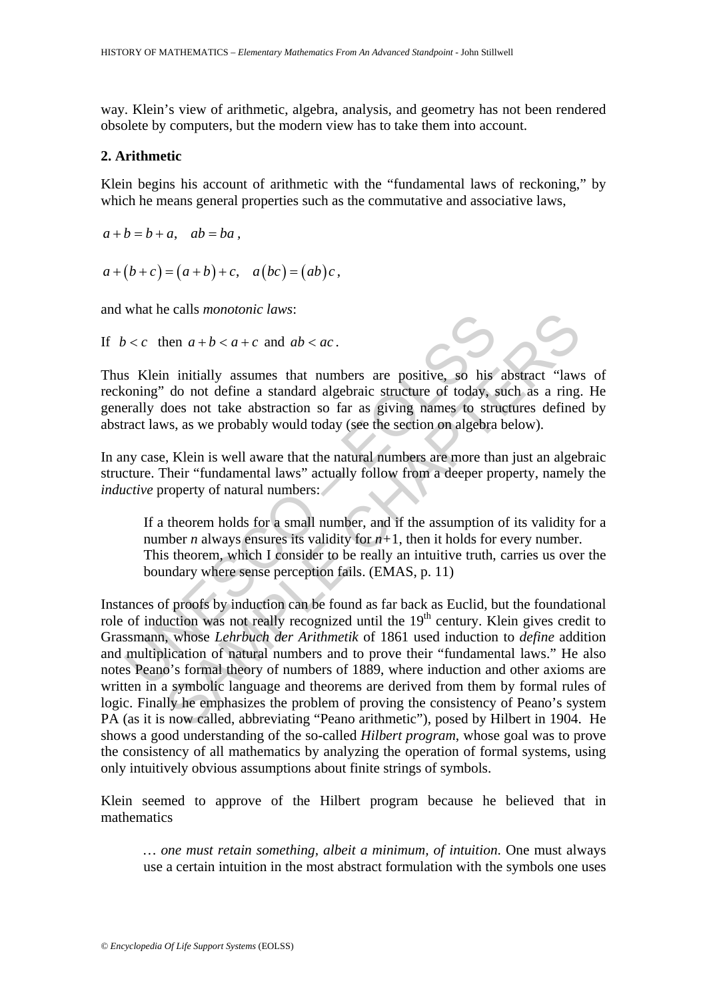way. Klein's view of arithmetic, algebra, analysis, and geometry has not been rendered obsolete by computers, but the modern view has to take them into account.

### **2. Arithmetic**

Klein begins his account of arithmetic with the "fundamental laws of reckoning," by which he means general properties such as the commutative and associative laws,

 $a+(b+c)=(a+b)+c, a(bc)=(ab)c,$ 

and what he calls *monotonic laws*:

 $a+b=b+a$ ,  $ab=ba$ ,

If  $b < c$  then  $a + b < a + c$  and  $ab < ac$ .



Thus Klein initially assumes that numbers are positive, so his abstract "laws of reckoning" do not define a standard algebraic structure of today, such as a ring. He generally does not take abstraction so far as giving names to structures defined by abstract laws, as we probably would today (see the section on algebra below).

In any case, Klein is well aware that the natural numbers are more than just an algebraic structure. Their "fundamental laws" actually follow from a deeper property, namely the *inductive* property of natural numbers:

If a theorem holds for a small number, and if the assumption of its validity for a number *n* always ensures its validity for  $n+1$ , then it holds for every number. This theorem, which I consider to be really an intuitive truth, carries us over the boundary where sense perception fails. (EMAS, p. 11)

value can allow that it can allow the set of the properties.<br>
So then initially assumes that numbers are positive, so his<br>
coning" do not define a standard algebraic structure of today, s<br>
really does not take abstraction ben  $a + b < a + c$  and  $ab < ac$ .<br>
n initially assumes that numbers are positive, so his abstract "law.<br>
do not define a standard algebraic structure of today, such as a ring<br>
does not take abstraction so far as giving names to st Instances of proofs by induction can be found as far back as Euclid, but the foundational role of induction was not really recognized until the  $19<sup>th</sup>$  century. Klein gives credit to Grassmann, whose *Lehrbuch der Arithmetik* of 1861 used induction to *define* addition and multiplication of natural numbers and to prove their "fundamental laws." He also notes Peano's formal theory of numbers of 1889, where induction and other axioms are written in a symbolic language and theorems are derived from them by formal rules of logic. Finally he emphasizes the problem of proving the consistency of Peano's system PA (as it is now called, abbreviating "Peano arithmetic"), posed by Hilbert in 1904. He shows a good understanding of the so-called *Hilbert program*, whose goal was to prove the consistency of all mathematics by analyzing the operation of formal systems, using only intuitively obvious assumptions about finite strings of symbols.

Klein seemed to approve of the Hilbert program because he believed that in mathematics

*… one must retain something, albeit a minimum, of intuition*. One must always use a certain intuition in the most abstract formulation with the symbols one uses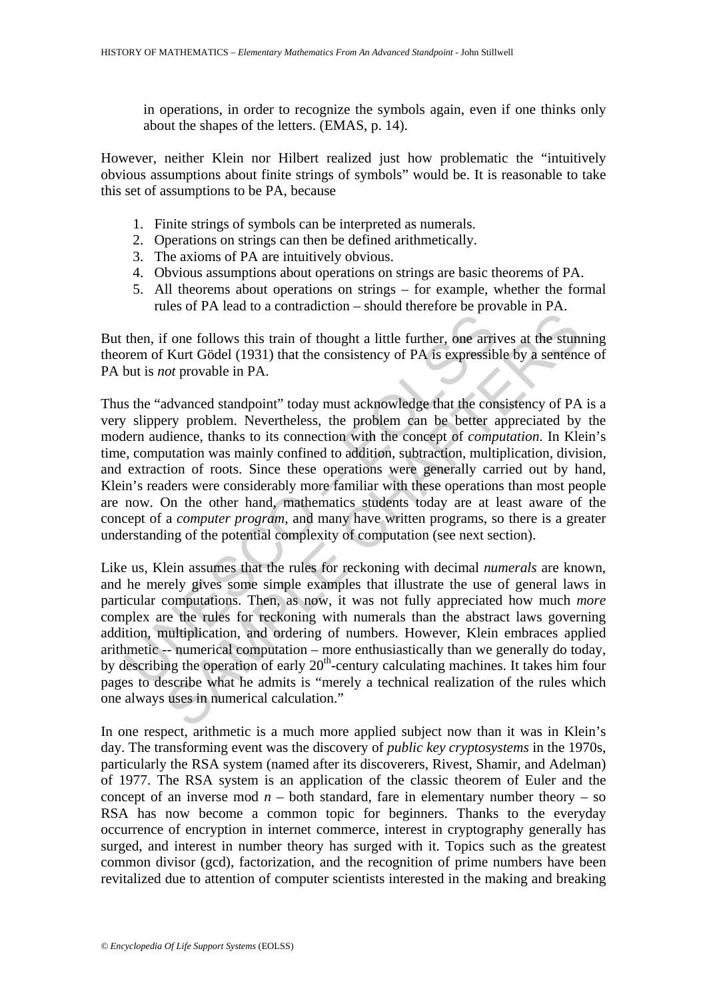in operations, in order to recognize the symbols again, even if one thinks only about the shapes of the letters. (EMAS, p. 14).

However, neither Klein nor Hilbert realized just how problematic the "intuitively obvious assumptions about finite strings of symbols" would be. It is reasonable to take this set of assumptions to be PA, because

- 1. Finite strings of symbols can be interpreted as numerals.
- 2. Operations on strings can then be defined arithmetically.
- 3. The axioms of PA are intuitively obvious.
- 4. Obvious assumptions about operations on strings are basic theorems of PA.
- 5. All theorems about operations on strings for example, whether the formal rules of PA lead to a contradiction – should therefore be provable in PA.

But then, if one follows this train of thought a little further, one arrives at the stunning theorem of Kurt Gödel (1931) that the consistency of PA is expressible by a sentence of PA but is *not* provable in PA.

then, if one follows this train of thought a little further, one arrivem of Kurt Gödel (1931) that the consistency of PA is expressibut is *not* provable in PA.<br>
s the "advanced standpoint" today must acknowledge that the It one follows this train of thought a little further, one arrives at the stundard or provable in PA.<br>
Kurt Gödel (1931) that the consistency of PA is expressible by a sentence of provable in PA.<br>
Exerty problem. Neverthe Thus the "advanced standpoint" today must acknowledge that the consistency of PA is a very slippery problem. Nevertheless, the problem can be better appreciated by the modern audience, thanks to its connection with the concept of *computation*. In Klein's time, computation was mainly confined to addition, subtraction, multiplication, division, and extraction of roots. Since these operations were generally carried out by hand, Klein's readers were considerably more familiar with these operations than most people are now. On the other hand, mathematics students today are at least aware of the concept of a *computer program*, and many have written programs, so there is a greater understanding of the potential complexity of computation (see next section).

Like us, Klein assumes that the rules for reckoning with decimal *numerals* are known, and he merely gives some simple examples that illustrate the use of general laws in particular computations. Then, as now, it was not fully appreciated how much *more* complex are the rules for reckoning with numerals than the abstract laws governing addition, multiplication, and ordering of numbers. However, Klein embraces applied arithmetic -- numerical computation – more enthusiastically than we generally do today, by describing the operation of early 20<sup>th</sup>-century calculating machines. It takes him four pages to describe what he admits is "merely a technical realization of the rules which one always uses in numerical calculation."

In one respect, arithmetic is a much more applied subject now than it was in Klein's day. The transforming event was the discovery of *public key cryptosystems* in the 1970s, particularly the RSA system (named after its discoverers, Rivest, Shamir, and Adelman) of 1977. The RSA system is an application of the classic theorem of Euler and the concept of an inverse mod  $n -$  both standard, fare in elementary number theory  $-$  so RSA has now become a common topic for beginners. Thanks to the everyday occurrence of encryption in internet commerce, interest in cryptography generally has surged, and interest in number theory has surged with it. Topics such as the greatest common divisor (gcd), factorization, and the recognition of prime numbers have been revitalized due to attention of computer scientists interested in the making and breaking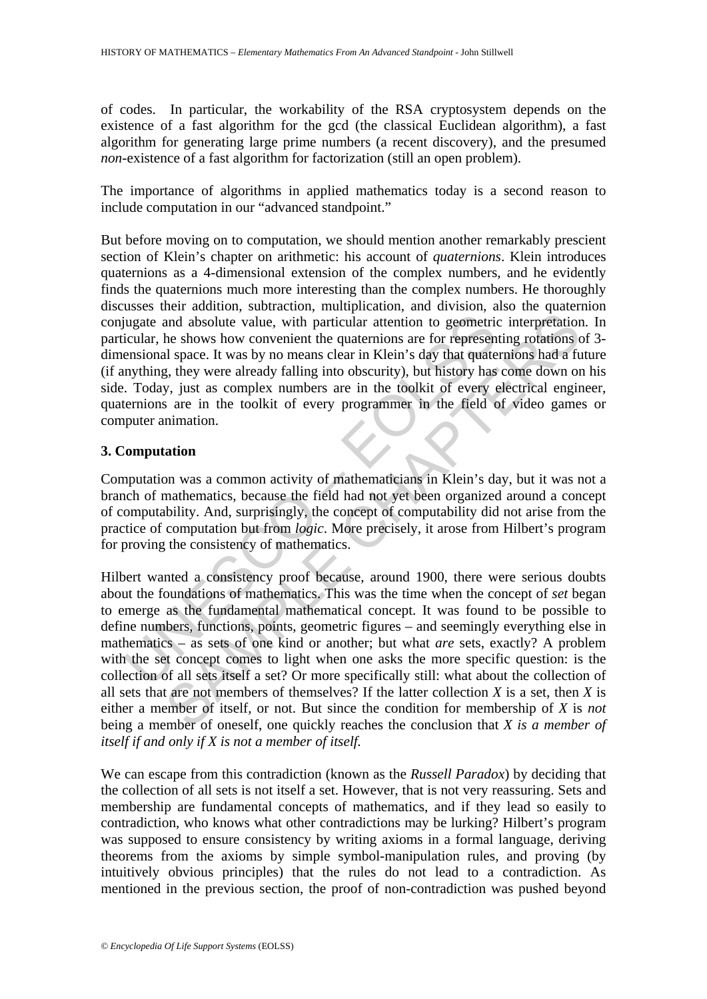of codes. In particular, the workability of the RSA cryptosystem depends on the existence of a fast algorithm for the gcd (the classical Euclidean algorithm), a fast algorithm for generating large prime numbers (a recent discovery), and the presumed *non-*existence of a fast algorithm for factorization (still an open problem).

The importance of algorithms in applied mathematics today is a second reason to include computation in our "advanced standpoint."

But before moving on to computation, we should mention another remarkably prescient section of Klein's chapter on arithmetic: his account of *quaternions*. Klein introduces quaternions as a 4-dimensional extension of the complex numbers, and he evidently finds the quaternions much more interesting than the complex numbers. He thoroughly discusses their addition, subtraction, multiplication, and division, also the quaternion conjugate and absolute value, with particular attention to geometric interpretation. In particular, he shows how convenient the quaternions are for representing rotations of 3 dimensional space. It was by no means clear in Klein's day that quaternions had a future (if anything, they were already falling into obscurity), but history has come down on his side. Today, just as complex numbers are in the toolkit of every electrical engineer, quaternions are in the toolkit of every programmer in the field of video games or computer animation.

# **3. Computation**

Computation was a common activity of mathematicians in Klein's day, but it was not a branch of mathematics, because the field had not yet been organized around a concept of computability. And, surprisingly, the concept of computability did not arise from the practice of computation but from *logic*. More precisely, it arose from Hilbert's program for proving the consistency of mathematics.

in ugate and absolute value, with particular attention to geometricular, he shows how convenient the quaternions are for represent ensional space. It was by no means clear in Klein's day that quate mything, they were alrea and absolute value, with particular attention to geometric interpretation<br>the shows how convenient the quaternions are for representing rotations of a fuse. It was by no means clear in Klein's day that quaternions had a f Hilbert wanted a consistency proof because, around 1900, there were serious doubts about the foundations of mathematics. This was the time when the concept of *set* began to emerge as the fundamental mathematical concept. It was found to be possible to define numbers, functions, points, geometric figures – and seemingly everything else in mathematics – as sets of one kind or another; but what *are* sets, exactly? A problem with the set concept comes to light when one asks the more specific question: is the collection of all sets itself a set? Or more specifically still: what about the collection of all sets that are not members of themselves? If the latter collection *X* is a set, then *X* is either a member of itself, or not. But since the condition for membership of *X* is *not* being a member of oneself, one quickly reaches the conclusion that *X is a member of itself if and only if X is not a member of itself.*

We can escape from this contradiction (known as the *Russell Paradox*) by deciding that the collection of all sets is not itself a set. However, that is not very reassuring. Sets and membership are fundamental concepts of mathematics, and if they lead so easily to contradiction, who knows what other contradictions may be lurking? Hilbert's program was supposed to ensure consistency by writing axioms in a formal language, deriving theorems from the axioms by simple symbol-manipulation rules, and proving (by intuitively obvious principles) that the rules do not lead to a contradiction. As mentioned in the previous section, the proof of non-contradiction was pushed beyond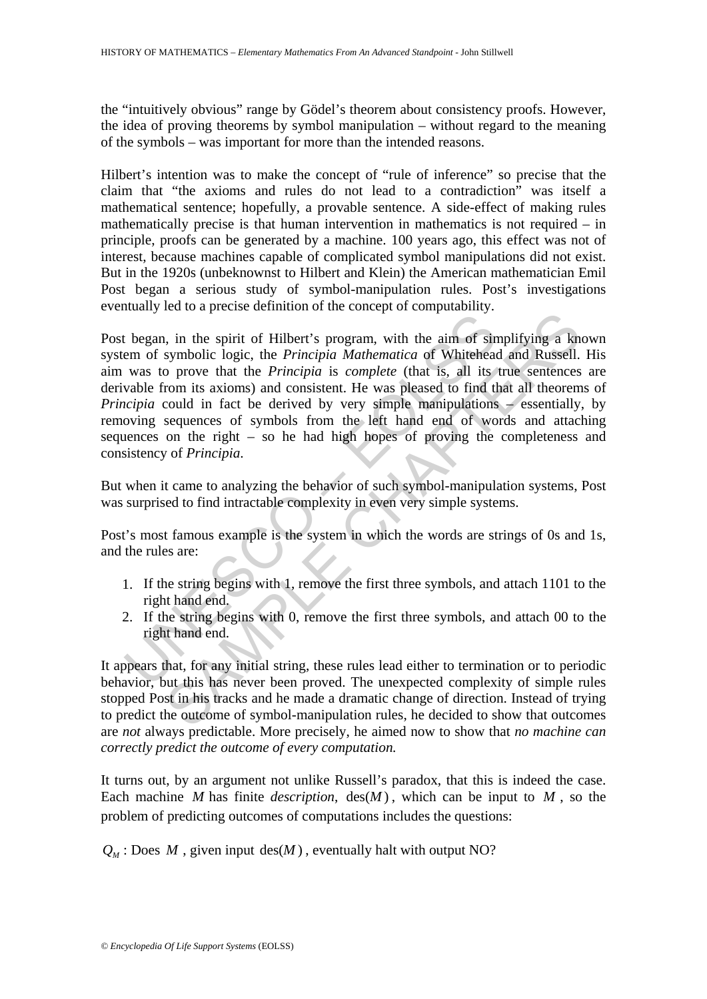the "intuitively obvious" range by Gödel's theorem about consistency proofs. However, the idea of proving theorems by symbol manipulation – without regard to the meaning of the symbols – was important for more than the intended reasons.

Hilbert's intention was to make the concept of "rule of inference" so precise that the claim that "the axioms and rules do not lead to a contradiction" was itself a mathematical sentence; hopefully, a provable sentence. A side-effect of making rules mathematically precise is that human intervention in mathematics is not required – in principle, proofs can be generated by a machine. 100 years ago, this effect was not of interest, because machines capable of complicated symbol manipulations did not exist. But in the 1920s (unbeknownst to Hilbert and Klein) the American mathematician Emil Post began a serious study of symbol-manipulation rules. Post's investigations eventually led to a precise definition of the concept of computability.

Example 1.1 The spirit of Hilbert's program, with the aim of sine<br>
was to prove that the *Principia* Mathematica of Whiteheaa<br>
was to prove that the *Principia* is *complete* (that is, all its<br>
wakele from its axioms) and The state of Hilbert's program, with the aim of simplifying a known in the spirit of Hilbert's program, with the aim of simplifying a known<br>symbolic logic, the *Principia* Mathematica of Whitehead and Russell.<br>O prove tha Post began, in the spirit of Hilbert's program, with the aim of simplifying a known system of symbolic logic, the *Principia Mathematica* of Whitehead and Russell. His aim was to prove that the *Principia* is *complete* (that is, all its true sentences are derivable from its axioms) and consistent. He was pleased to find that all theorems of *Principia* could in fact be derived by very simple manipulations – essentially, by removing sequences of symbols from the left hand end of words and attaching sequences on the right – so he had high hopes of proving the completeness and consistency of *Principia*.

But when it came to analyzing the behavior of such symbol-manipulation systems, Post was surprised to find intractable complexity in even very simple systems.

Post's most famous example is the system in which the words are strings of 0s and 1s, and the rules are:

- 1. If the string begins with 1, remove the first three symbols, and attach 1101 to the right hand end.
- 2. If the string begins with 0, remove the first three symbols, and attach 00 to the right hand end.

It appears that, for any initial string, these rules lead either to termination or to periodic behavior, but this has never been proved. The unexpected complexity of simple rules stopped Post in his tracks and he made a dramatic change of direction. Instead of trying to predict the outcome of symbol-manipulation rules, he decided to show that outcomes are *not* always predictable. More precisely, he aimed now to show that *no machine can correctly predict the outcome of every computation.*

It turns out, by an argument not unlike Russell's paradox, that this is indeed the case. Each machine *M* has finite *description*,  $\text{des}(M)$ , which can be input to *M*, so the problem of predicting outcomes of computations includes the questions:

 $Q_M$ : Does *M*, given input des(*M*), eventually halt with output NO?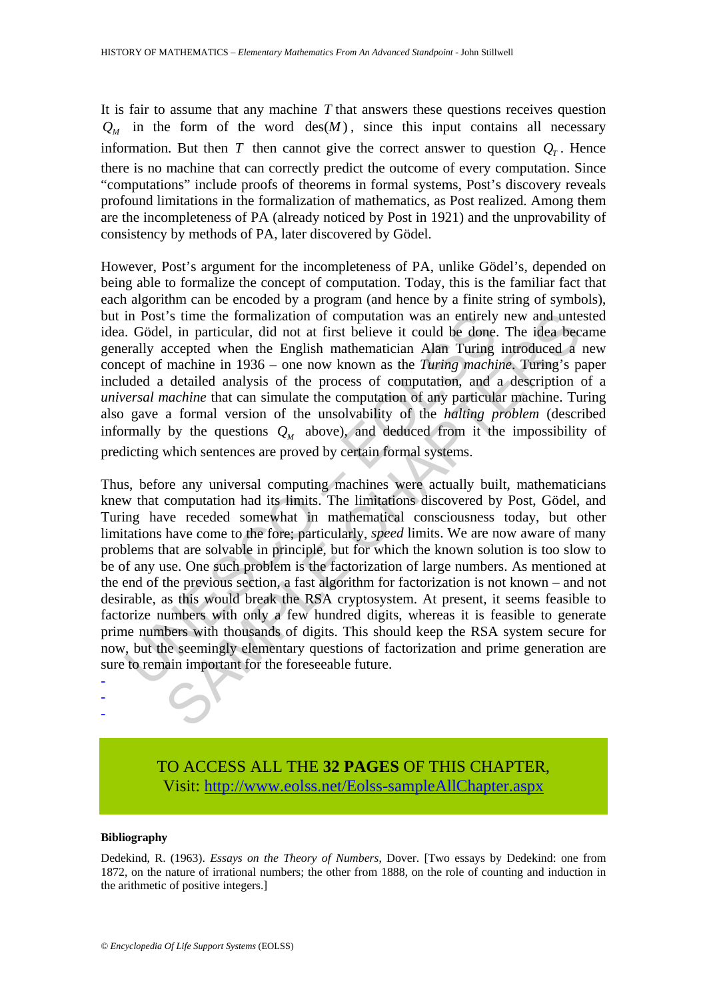It is fair to assume that any machine *T* that answers these questions receives question  $Q_{M}$  in the form of the word  $\text{des}(M)$ , since this input contains all necessary information. But then *T* then cannot give the correct answer to question  $Q<sub>r</sub>$ . Hence there is no machine that can correctly predict the outcome of every computation. Since "computations" include proofs of theorems in formal systems, Post's discovery reveals profound limitations in the formalization of mathematics, as Post realized. Among them are the incompleteness of PA (already noticed by Post in 1921) and the unprovability of consistency by methods of PA, later discovered by Gödel.

However, Post's argument for the incompleteness of PA, unlike Gödel's, depended on being able to formalize the concept of computation. Today, this is the familiar fact that each algorithm can be encoded by a program (and hence by a finite string of symbols), but in Post's time the formalization of computation was an entirely new and untested idea. Gödel, in particular, did not at first believe it could be done. The idea became generally accepted when the English mathematician Alan Turing introduced a new concept of machine in 1936 – one now known as the *Turing machine*. Turing's paper included a detailed analysis of the process of computation, and a description of a *universal machine* that can simulate the computation of any particular machine. Turing also gave a formal version of the unsolvability of the *halting problem* (described informally by the questions  $Q_M$  above), and deduced from it the impossibility of predicting which sentences are proved by certain formal systems.

in Post's time the formalization of computation was an entirely<br>
... Gödel, in particular, did not at first believe it could be done.<br>
really accepted when the English mathematician Alam Turing<br>
experiency of machine in 1 i's time the formalization of computation was an entirely new and unted, in particular, did not at first believe it could be done. The idea becaused when the English mathematician Alam Turing introduced a machine in 1936 Thus, before any universal computing machines were actually built, mathematicians knew that computation had its limits. The limitations discovered by Post, Gödel, and Turing have receded somewhat in mathematical consciousness today, but other limitations have come to the fore; particularly, *speed* limits. We are now aware of many problems that are solvable in principle, but for which the known solution is too slow to be of any use. One such problem is the factorization of large numbers. As mentioned at the end of the previous section, a fast algorithm for factorization is not known – and not desirable, as this would break the RSA cryptosystem. At present, it seems feasible to factorize numbers with only a few hundred digits, whereas it is feasible to generate prime numbers with thousands of digits. This should keep the RSA system secure for now, but the seemingly elementary questions of factorization and prime generation are sure to remain important for the foreseeable future.

> TO ACCESS ALL THE **32 PAGES** OF THIS CHAPTER, Visit[: http://www.eolss.net/Eolss-sampleAllChapter.aspx](https://www.eolss.net/ebooklib/sc_cart.aspx?File=E6-132-32-00)

#### **Bibliography**

- - -

Dedekind, R. (1963). *Essays on the Theory of Numbers*, Dover. [Two essays by Dedekind: one from 1872, on the nature of irrational numbers; the other from 1888, on the role of counting and induction in the arithmetic of positive integers.]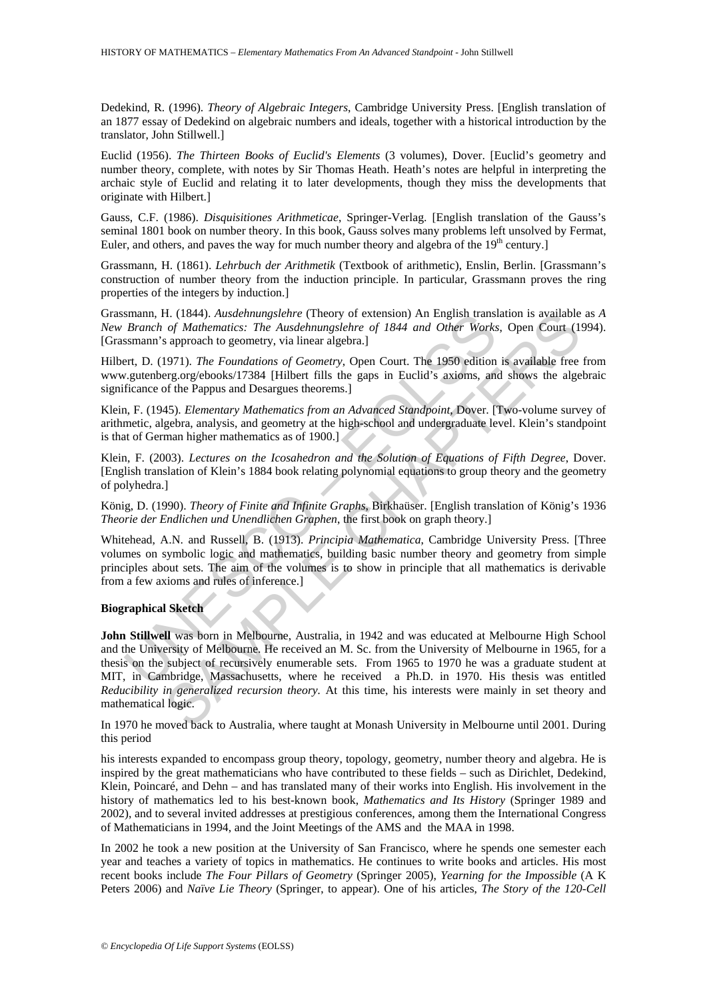Dedekind, R. (1996). *Theory of Algebraic Integers*, Cambridge University Press. [English translation of an 1877 essay of Dedekind on algebraic numbers and ideals, together with a historical introduction by the translator, John Stillwell.]

Euclid (1956). *The Thirteen Books of Euclid's Elements* (3 volumes), Dover. [Euclid's geometry and number theory, complete, with notes by Sir Thomas Heath. Heath's notes are helpful in interpreting the archaic style of Euclid and relating it to later developments, though they miss the developments that originate with Hilbert.]

Gauss, C.F. (1986). *Disquisitiones Arithmeticae*, Springer-Verlag. [English translation of the Gauss's seminal 1801 book on number theory. In this book, Gauss solves many problems left unsolved by Fermat, Euler, and others, and paves the way for much number theory and algebra of the  $19<sup>th</sup>$  century.]

Grassmann, H. (1861). *Lehrbuch der Arithmetik* (Textbook of arithmetic), Enslin, Berlin. [Grassmann's construction of number theory from the induction principle. In particular, Grassmann proves the ring properties of the integers by induction.]

Grassmann, H. (1844). *Ausdehnungslehre* (Theory of extension) An English translation is available as *A New Branch of Mathematics: The Ausdehnungslehre of 1844 and Other Works*, Open Court (1994). [Grassmann's approach to geometry, via linear algebra.]

Hilbert, D. (1971). *The Foundations of Geometry*, Open Court. The 1950 edition is available free from www.gutenberg.org/ebooks/17384 [Hilbert fills the gaps in Euclid's axioms, and shows the algebraic significance of the Pappus and Desargues theorems.]

Klein, F. (1945). *Elementary Mathematics from an Advanced Standpoint*, Dover. [Two-volume survey of arithmetic, algebra, analysis, and geometry at the high-school and undergraduate level. Klein's standpoint is that of German higher mathematics as of 1900.]

Klein, F. (2003). *Lectures on the Icosahedron and the Solution of Equations of Fifth Degree*, Dover. [English translation of Klein's 1884 book relating polynomial equations to group theory and the geometry of polyhedra.]

König, D. (1990). *Theory of Finite and Infinite Graphs*, Birkhaüser. [English translation of König's 1936 *Theorie der Endlichen und Unendlichen Graphen*, the first book on graph theory.]

Whitehead, A.N. and Russell, B. (1913). *Principia Mathematica*, Cambridge University Press. [Three volumes on symbolic logic and mathematics, building basic number theory and geometry from simple principles about sets. The aim of the volumes is to show in principle that all mathematics is derivable from a few axioms and rules of inference.]

#### **Biographical Sketch**

smann, H. (1844). *Ausdehnungslehre* (Theory of extension) An English transformation, H. (1844). *Ausdehnungslehre* of 1844 and Other Works Bymann's approach to geometry, via linear algebra.]<br>
ert, D. (1971). *The Foundati* II. (1844). Auxadelmungslehre (Theory of extension) An English translation is available to the of *Mathematics: The Ausdelmungslehre of 1844 and Other Works*, Open Court (1847). The *Foundations of Geometry*, Open Court. **John Stillwell** was born in Melbourne, Australia, in 1942 and was educated at Melbourne High School and the University of Melbourne. He received an M. Sc. from the University of Melbourne in 1965, for a thesis on the subject of recursively enumerable sets. From 1965 to 1970 he was a graduate student at MIT, in Cambridge, Massachusetts, where he received a Ph.D. in 1970. His thesis was entitled *Reducibility in generalized recursion theory.* At this time, his interests were mainly in set theory and mathematical logic.

In 1970 he moved back to Australia, where taught at Monash University in Melbourne until 2001. During this period

his interests expanded to encompass group theory, topology, geometry, number theory and algebra. He is inspired by the great mathematicians who have contributed to these fields – such as Dirichlet, Dedekind, Klein, Poincaré, and Dehn – and has translated many of their works into English. His involvement in the history of mathematics led to his best-known book, *Mathematics and Its History* (Springer 1989 and 2002), and to several invited addresses at prestigious conferences, among them the International Congress of Mathematicians in 1994, and the Joint Meetings of the AMS and the MAA in 1998.

In 2002 he took a new position at the University of San Francisco, where he spends one semester each year and teaches a variety of topics in mathematics. He continues to write books and articles. His most recent books include *The Four Pillars of Geometry* (Springer 2005), *Yearning for the Impossible* (A K Peters 2006) and *Naïve Lie Theory* (Springer, to appear). One of his articles, *The Story of the 120-Cell*